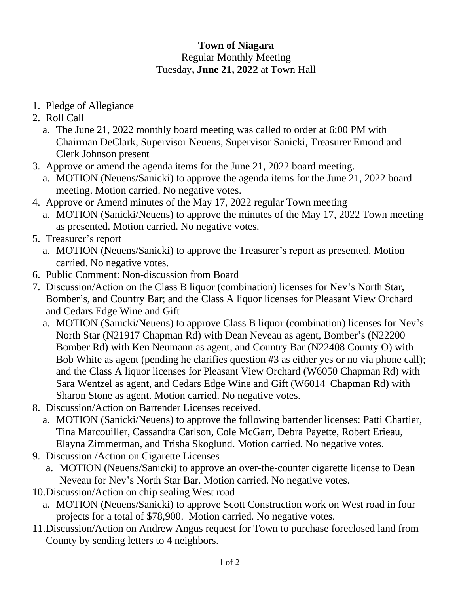## **Town of Niagara** Regular Monthly Meeting Tuesday**, June 21, 2022** at Town Hall

- 1. Pledge of Allegiance
- 2. Roll Call
	- a. The June 21, 2022 monthly board meeting was called to order at 6:00 PM with Chairman DeClark, Supervisor Neuens, Supervisor Sanicki, Treasurer Emond and Clerk Johnson present
- 3. Approve or amend the agenda items for the June 21, 2022 board meeting.
	- a. MOTION (Neuens/Sanicki) to approve the agenda items for the June 21, 2022 board meeting. Motion carried. No negative votes.
- 4. Approve or Amend minutes of the May 17, 2022 regular Town meeting
	- a. MOTION (Sanicki/Neuens) to approve the minutes of the May 17, 2022 Town meeting as presented. Motion carried. No negative votes.
- 5. Treasurer's report
	- a. MOTION (Neuens/Sanicki) to approve the Treasurer's report as presented. Motion carried. No negative votes.
- 6. Public Comment: Non-discussion from Board
- 7. Discussion/Action on the Class B liquor (combination) licenses for Nev's North Star, Bomber's, and Country Bar; and the Class A liquor licenses for Pleasant View Orchard and Cedars Edge Wine and Gift
	- a. MOTION (Sanicki/Neuens) to approve Class B liquor (combination) licenses for Nev's North Star (N21917 Chapman Rd) with Dean Neveau as agent, Bomber's (N22200 Bomber Rd) with Ken Neumann as agent, and Country Bar (N22408 County O) with Bob White as agent (pending he clarifies question #3 as either yes or no via phone call); and the Class A liquor licenses for Pleasant View Orchard (W6050 Chapman Rd) with Sara Wentzel as agent, and Cedars Edge Wine and Gift (W6014 Chapman Rd) with Sharon Stone as agent. Motion carried. No negative votes.
- 8. Discussion/Action on Bartender Licenses received.
	- a. MOTION (Sanicki/Neuens) to approve the following bartender licenses: Patti Chartier, Tina Marcouiller, Cassandra Carlson, Cole McGarr, Debra Payette, Robert Erieau, Elayna Zimmerman, and Trisha Skoglund. Motion carried. No negative votes.
- 9. Discussion /Action on Cigarette Licenses
	- a. MOTION (Neuens/Sanicki) to approve an over-the-counter cigarette license to Dean Neveau for Nev's North Star Bar. Motion carried. No negative votes.
- 10.Discussion/Action on chip sealing West road
	- a. MOTION (Neuens/Sanicki) to approve Scott Construction work on West road in four projects for a total of \$78,900. Motion carried. No negative votes.
- 11.Discussion/Action on Andrew Angus request for Town to purchase foreclosed land from County by sending letters to 4 neighbors.